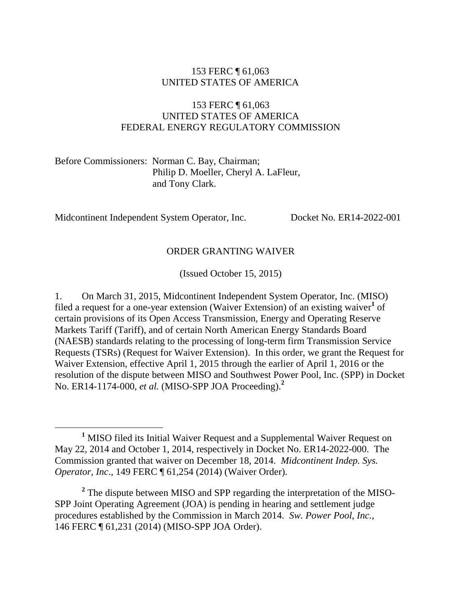#### 153 FERC ¶ 61,063 UNITED STATES OF AMERICA

#### 153 FERC ¶ 61,063 UNITED STATES OF AMERICA FEDERAL ENERGY REGULATORY COMMISSION

Before Commissioners: Norman C. Bay, Chairman; Philip D. Moeller, Cheryl A. LaFleur, and Tony Clark.

Midcontinent Independent System Operator, Inc. Docket No. ER14-2022-001

#### ORDER GRANTING WAIVER

(Issued October 15, 2015)

1. On March 31, 2015, Midcontinent Independent System Operator, Inc. (MISO) filed a request for a one-year extension (Waiver Extension) of an existing waiver<sup>1</sup> of certain provisions of its Open Access Transmission, Energy and Operating Reserve Markets Tariff (Tariff), and of certain North American Energy Standards Board (NAESB) standards relating to the processing of long-term firm Transmission Service Requests (TSRs) (Request for Waiver Extension). In this order, we grant the Request for Waiver Extension, effective April 1, 2015 through the earlier of April 1, 2016 or the resolution of the dispute between MISO and Southwest Power Pool, Inc. (SPP) in Docket No. ER14-1174-000, *et al.* (MISO-SPP JOA Proceeding). **2**

**<sup>1</sup>** MISO filed its Initial Waiver Request and a Supplemental Waiver Request on May 22, 2014 and October 1, 2014, respectively in Docket No. ER14-2022-000. The Commission granted that waiver on December 18, 2014. *Midcontinent Indep. Sys. Operator, Inc*., 149 FERC ¶ 61,254 (2014) (Waiver Order).

<sup>&</sup>lt;sup>2</sup> The dispute between MISO and SPP regarding the interpretation of the MISO-SPP Joint Operating Agreement (JOA) is pending in hearing and settlement judge procedures established by the Commission in March 2014. *Sw. Power Pool, Inc.*, 146 FERC ¶ 61,231 (2014) (MISO-SPP JOA Order).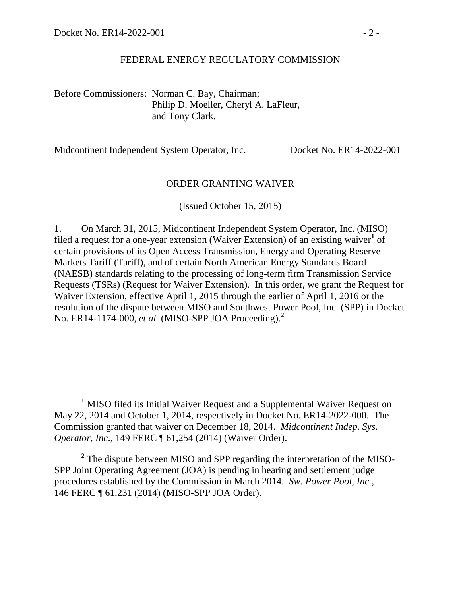$\overline{a}$ 

#### FEDERAL ENERGY REGULATORY COMMISSION

Before Commissioners: Norman C. Bay, Chairman; Philip D. Moeller, Cheryl A. LaFleur, and Tony Clark.

Midcontinent Independent System Operator, Inc. Docket No. ER14-2022-001

#### ORDER GRANTING WAIVER

(Issued October 15, 2015)

1. On March 31, 2015, Midcontinent Independent System Operator, Inc. (MISO) filed a request for a one-year extension (Waiver Extension) of an existing waiver<sup>1</sup> of certain provisions of its Open Access Transmission, Energy and Operating Reserve Markets Tariff (Tariff), and of certain North American Energy Standards Board (NAESB) standards relating to the processing of long-term firm Transmission Service Requests (TSRs) (Request for Waiver Extension). In this order, we grant the Request for Waiver Extension, effective April 1, 2015 through the earlier of April 1, 2016 or the resolution of the dispute between MISO and Southwest Power Pool, Inc. (SPP) in Docket No. ER14-1174-000, *et al.* (MISO-SPP JOA Proceeding). **2**

<sup>2</sup> The dispute between MISO and SPP regarding the interpretation of the MISO-SPP Joint Operating Agreement (JOA) is pending in hearing and settlement judge procedures established by the Commission in March 2014. *Sw. Power Pool, Inc.*, 146 FERC ¶ 61,231 (2014) (MISO-SPP JOA Order).

**<sup>1</sup>** MISO filed its Initial Waiver Request and a Supplemental Waiver Request on May 22, 2014 and October 1, 2014, respectively in Docket No. ER14-2022-000. The Commission granted that waiver on December 18, 2014. *Midcontinent Indep. Sys. Operator, Inc*., 149 FERC ¶ 61,254 (2014) (Waiver Order).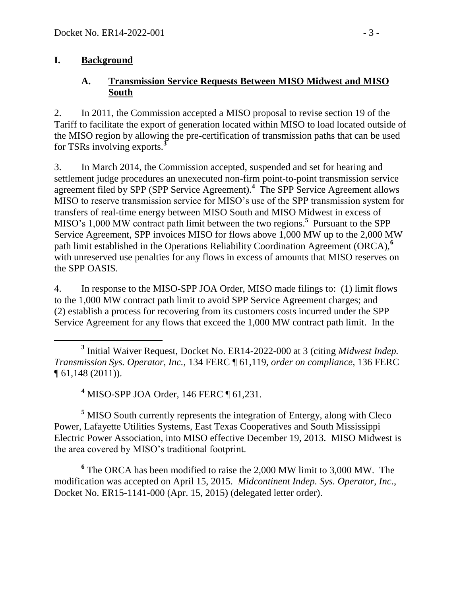#### **I. Background**

#### **A. Transmission Service Requests Between MISO Midwest and MISO South**

2. In 2011, the Commission accepted a MISO proposal to revise section 19 of the Tariff to facilitate the export of generation located within MISO to load located outside of the MISO region by allowing the pre-certification of transmission paths that can be used for TSRs involving exports.**<sup>3</sup>**

3. In March 2014, the Commission accepted, suspended and set for hearing and settlement judge procedures an unexecuted non-firm point-to-point transmission service agreement filed by SPP (SPP Service Agreement).**<sup>4</sup>** The SPP Service Agreement allows MISO to reserve transmission service for MISO's use of the SPP transmission system for transfers of real-time energy between MISO South and MISO Midwest in excess of MISO's 1,000 MW contract path limit between the two regions. **5** Pursuant to the SPP Service Agreement, SPP invoices MISO for flows above 1,000 MW up to the 2,000 MW path limit established in the Operations Reliability Coordination Agreement (ORCA),**<sup>6</sup>** with unreserved use penalties for any flows in excess of amounts that MISO reserves on the SPP OASIS.

4. In response to the MISO-SPP JOA Order, MISO made filings to: (1) limit flows to the 1,000 MW contract path limit to avoid SPP Service Agreement charges; and (2) establish a process for recovering from its customers costs incurred under the SPP Service Agreement for any flows that exceed the 1,000 MW contract path limit. In the

**<sup>4</sup>** MISO-SPP JOA Order, 146 FERC ¶ 61,231.

**<sup>5</sup>** MISO South currently represents the integration of Entergy, along with Cleco Power, Lafayette Utilities Systems, East Texas Cooperatives and South Mississippi Electric Power Association, into MISO effective December 19, 2013. MISO Midwest is the area covered by MISO's traditional footprint.

**6** The ORCA has been modified to raise the 2,000 MW limit to 3,000 MW. The modification was accepted on April 15, 2015. *Midcontinent Indep. Sys. Operator, Inc*., Docket No. ER15-1141-000 (Apr. 15, 2015) (delegated letter order).

 $\overline{a}$ **3** Initial Waiver Request, Docket No. ER14-2022-000 at 3 (citing *Midwest Indep. Transmission Sys. Operator, Inc.*, 134 FERC ¶ 61,119, *order on compliance*, 136 FERC ¶ 61,148 (2011)).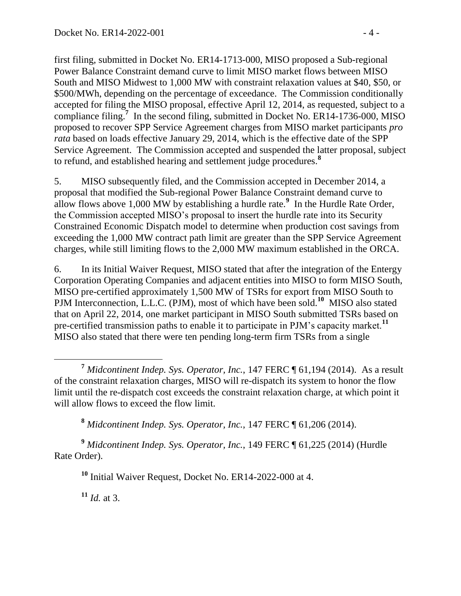first filing, submitted in Docket No. ER14-1713-000, MISO proposed a Sub-regional Power Balance Constraint demand curve to limit MISO market flows between MISO South and MISO Midwest to 1,000 MW with constraint relaxation values at \$40, \$50, or \$500/MWh, depending on the percentage of exceedance. The Commission conditionally accepted for filing the MISO proposal, effective April 12, 2014, as requested, subject to a compliance filing.<sup>7</sup> In the second filing, submitted in Docket No. ER14-1736-000, MISO proposed to recover SPP Service Agreement charges from MISO market participants *pro rata* based on loads effective January 29, 2014, which is the effective date of the SPP Service Agreement. The Commission accepted and suspended the latter proposal, subject to refund, and established hearing and settlement judge procedures.**<sup>8</sup>**

5. MISO subsequently filed, and the Commission accepted in December 2014, a proposal that modified the Sub-regional Power Balance Constraint demand curve to allow flows above 1,000 MW by establishing a hurdle rate.**<sup>9</sup>** In the Hurdle Rate Order, the Commission accepted MISO's proposal to insert the hurdle rate into its Security Constrained Economic Dispatch model to determine when production cost savings from exceeding the 1,000 MW contract path limit are greater than the SPP Service Agreement charges, while still limiting flows to the 2,000 MW maximum established in the ORCA.

6. In its Initial Waiver Request, MISO stated that after the integration of the Entergy Corporation Operating Companies and adjacent entities into MISO to form MISO South, MISO pre-certified approximately 1,500 MW of TSRs for export from MISO South to PJM Interconnection, L.L.C. (PJM), most of which have been sold.**<sup>10</sup>** MISO also stated that on April 22, 2014, one market participant in MISO South submitted TSRs based on pre-certified transmission paths to enable it to participate in PJM's capacity market.**<sup>11</sup>** MISO also stated that there were ten pending long-term firm TSRs from a single

**<sup>9</sup>** *Midcontinent Indep. Sys. Operator, Inc.*, 149 FERC ¶ 61,225 (2014) (Hurdle Rate Order).

**<sup>10</sup>** Initial Waiver Request, Docket No. ER14-2022-000 at 4.

**<sup>11</sup>** *Id.* at 3.

**<sup>7</sup>** *Midcontinent Indep. Sys. Operator, Inc.*, 147 FERC ¶ 61,194 (2014). As a result of the constraint relaxation charges, MISO will re-dispatch its system to honor the flow limit until the re-dispatch cost exceeds the constraint relaxation charge, at which point it will allow flows to exceed the flow limit.

**<sup>8</sup>** *Midcontinent Indep. Sys. Operator, Inc.*, 147 FERC ¶ 61,206 (2014).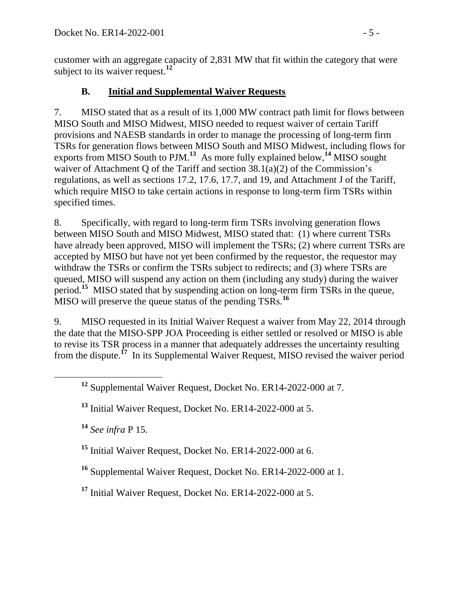customer with an aggregate capacity of 2,831 MW that fit within the category that were subject to its waiver request.**<sup>12</sup>**

### **B. Initial and Supplemental Waiver Requests**

7. MISO stated that as a result of its 1,000 MW contract path limit for flows between MISO South and MISO Midwest, MISO needed to request waiver of certain Tariff provisions and NAESB standards in order to manage the processing of long-term firm TSRs for generation flows between MISO South and MISO Midwest, including flows for exports from MISO South to PJM.<sup>13</sup> As more fully explained below,<sup>14</sup> MISO sought waiver of Attachment Q of the Tariff and section 38.1(a)(2) of the Commission's regulations, as well as sections 17.2, 17.6, 17.7, and 19, and Attachment J of the Tariff, which require MISO to take certain actions in response to long-term firm TSRs within specified times.

8. Specifically, with regard to long-term firm TSRs involving generation flows between MISO South and MISO Midwest, MISO stated that: (1) where current TSRs have already been approved, MISO will implement the TSRs; (2) where current TSRs are accepted by MISO but have not yet been confirmed by the requestor, the requestor may withdraw the TSRs or confirm the TSRs subject to redirects; and (3) where TSRs are queued, MISO will suspend any action on them (including any study) during the waiver period.<sup>15</sup> MISO stated that by suspending action on long-term firm TSRs in the queue, MISO will preserve the queue status of the pending TSRs.**<sup>16</sup>**

9. MISO requested in its Initial Waiver Request a waiver from May 22, 2014 through the date that the MISO-SPP JOA Proceeding is either settled or resolved or MISO is able to revise its TSR process in a manner that adequately addresses the uncertainty resulting from the dispute.<sup>17</sup> In its Supplemental Waiver Request, MISO revised the waiver period

**<sup>14</sup>** *See infra* P [15.](#page-7-0)

 $\overline{a}$ 

**<sup>15</sup>** Initial Waiver Request, Docket No. ER14-2022-000 at 6.

**<sup>16</sup>** Supplemental Waiver Request, Docket No. ER14-2022-000 at 1.

**<sup>17</sup>** Initial Waiver Request, Docket No. ER14-2022-000 at 5.

**<sup>12</sup>** Supplemental Waiver Request, Docket No. ER14-2022-000 at 7.

**<sup>13</sup>** Initial Waiver Request, Docket No. ER14-2022-000 at 5.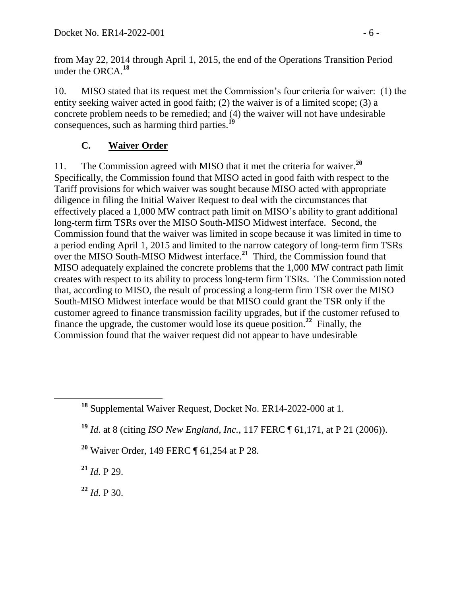from May 22, 2014 through April 1, 2015, the end of the Operations Transition Period under the ORCA.**<sup>18</sup>**

10. MISO stated that its request met the Commission's four criteria for waiver: (1) the entity seeking waiver acted in good faith; (2) the waiver is of a limited scope; (3) a concrete problem needs to be remedied; and (4) the waiver will not have undesirable consequences, such as harming third parties.**<sup>19</sup>**

## **C. Waiver Order**

11. The Commission agreed with MISO that it met the criteria for waiver.**<sup>20</sup>** Specifically, the Commission found that MISO acted in good faith with respect to the Tariff provisions for which waiver was sought because MISO acted with appropriate diligence in filing the Initial Waiver Request to deal with the circumstances that effectively placed a 1,000 MW contract path limit on MISO's ability to grant additional long-term firm TSRs over the MISO South-MISO Midwest interface. Second, the Commission found that the waiver was limited in scope because it was limited in time to a period ending April 1, 2015 and limited to the narrow category of long-term firm TSRs over the MISO South-MISO Midwest interface. **<sup>21</sup>** Third, the Commission found that MISO adequately explained the concrete problems that the 1,000 MW contract path limit creates with respect to its ability to process long-term firm TSRs. The Commission noted that, according to MISO, the result of processing a long-term firm TSR over the MISO South-MISO Midwest interface would be that MISO could grant the TSR only if the customer agreed to finance transmission facility upgrades, but if the customer refused to finance the upgrade, the customer would lose its queue position.<sup>22</sup> Finally, the Commission found that the waiver request did not appear to have undesirable

- **<sup>19</sup>** *Id*. at 8 (citing *ISO New England, Inc.*, 117 FERC ¶ 61,171, at P 21 (2006)).
- **<sup>20</sup>** Waiver Order, 149 FERC ¶ 61,254 at P 28.

**<sup>21</sup>** *Id.* P 29.

 $^{22}$  *Id.* P 30.

**<sup>18</sup>** Supplemental Waiver Request, Docket No. ER14-2022-000 at 1.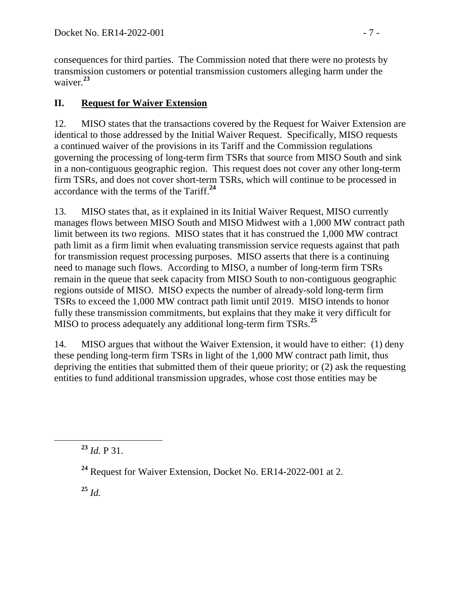consequences for third parties. The Commission noted that there were no protests by transmission customers or potential transmission customers alleging harm under the waiver.**<sup>23</sup>**

# **II. Request for Waiver Extension**

12. MISO states that the transactions covered by the Request for Waiver Extension are identical to those addressed by the Initial Waiver Request. Specifically, MISO requests a continued waiver of the provisions in its Tariff and the Commission regulations governing the processing of long-term firm TSRs that source from MISO South and sink in a non-contiguous geographic region. This request does not cover any other long-term firm TSRs, and does not cover short-term TSRs, which will continue to be processed in accordance with the terms of the Tariff.**<sup>24</sup>**

13. MISO states that, as it explained in its Initial Waiver Request, MISO currently manages flows between MISO South and MISO Midwest with a 1,000 MW contract path limit between its two regions. MISO states that it has construed the 1,000 MW contract path limit as a firm limit when evaluating transmission service requests against that path for transmission request processing purposes. MISO asserts that there is a continuing need to manage such flows. According to MISO, a number of long-term firm TSRs remain in the queue that seek capacity from MISO South to non-contiguous geographic regions outside of MISO. MISO expects the number of already-sold long-term firm TSRs to exceed the 1,000 MW contract path limit until 2019. MISO intends to honor fully these transmission commitments, but explains that they make it very difficult for MISO to process adequately any additional long-term firm TSRs. **25**

14. MISO argues that without the Waiver Extension, it would have to either: (1) deny these pending long-term firm TSRs in light of the 1,000 MW contract path limit, thus depriving the entities that submitted them of their queue priority; or (2) ask the requesting entities to fund additional transmission upgrades, whose cost those entities may be

**<sup>23</sup>** *Id.* P 31.

**<sup>25</sup>** *Id.*

**<sup>24</sup>** Request for Waiver Extension, Docket No. ER14-2022-001 at 2.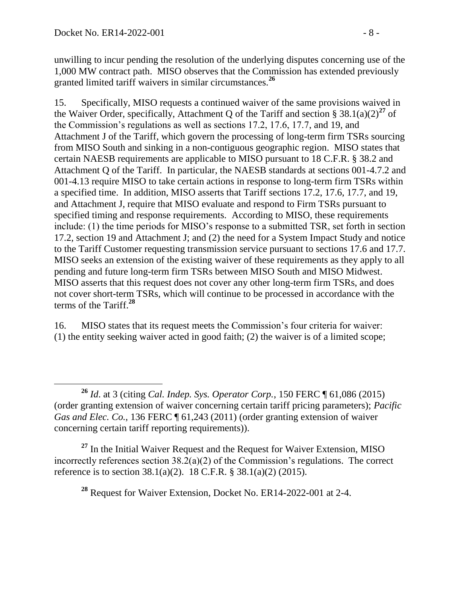$\overline{a}$ 

unwilling to incur pending the resolution of the underlying disputes concerning use of the 1,000 MW contract path. MISO observes that the Commission has extended previously granted limited tariff waivers in similar circumstances.**<sup>26</sup>**

<span id="page-7-0"></span>15. Specifically, MISO requests a continued waiver of the same provisions waived in the Waiver Order, specifically, Attachment Q of the Tariff and section §  $38.1(a)(2)^{27}$  of the Commission's regulations as well as sections 17.2, 17.6, 17.7, and 19, and Attachment J of the Tariff, which govern the processing of long-term firm TSRs sourcing from MISO South and sinking in a non-contiguous geographic region. MISO states that certain NAESB requirements are applicable to MISO pursuant to 18 C.F.R. § 38.2 and Attachment Q of the Tariff. In particular, the NAESB standards at sections 001-4.7.2 and 001-4.13 require MISO to take certain actions in response to long-term firm TSRs within a specified time. In addition, MISO asserts that Tariff sections 17.2, 17.6, 17.7, and 19, and Attachment J, require that MISO evaluate and respond to Firm TSRs pursuant to specified timing and response requirements. According to MISO, these requirements include: (1) the time periods for MISO's response to a submitted TSR, set forth in section 17.2, section 19 and Attachment J; and (2) the need for a System Impact Study and notice to the Tariff Customer requesting transmission service pursuant to sections 17.6 and 17.7. MISO seeks an extension of the existing waiver of these requirements as they apply to all pending and future long-term firm TSRs between MISO South and MISO Midwest. MISO asserts that this request does not cover any other long-term firm TSRs, and does not cover short-term TSRs, which will continue to be processed in accordance with the terms of the Tariff.**<sup>28</sup>**

16. MISO states that its request meets the Commission's four criteria for waiver: (1) the entity seeking waiver acted in good faith; (2) the waiver is of a limited scope;

**<sup>27</sup>** In the Initial Waiver Request and the Request for Waiver Extension, MISO incorrectly references section  $38.2(a)(2)$  of the Commission's regulations. The correct reference is to section 38.1(a)(2). 18 C.F.R. § 38.1(a)(2) (2015).

**<sup>28</sup>** Request for Waiver Extension, Docket No. ER14-2022-001 at 2-4.

**<sup>26</sup>** *Id*. at 3 (citing *Cal. Indep. Sys. Operator Corp.*, 150 FERC ¶ 61,086 (2015) (order granting extension of waiver concerning certain tariff pricing parameters); *Pacific Gas and Elec. Co.*, 136 FERC  $\parallel$  61,243 (2011) (order granting extension of waiver concerning certain tariff reporting requirements)).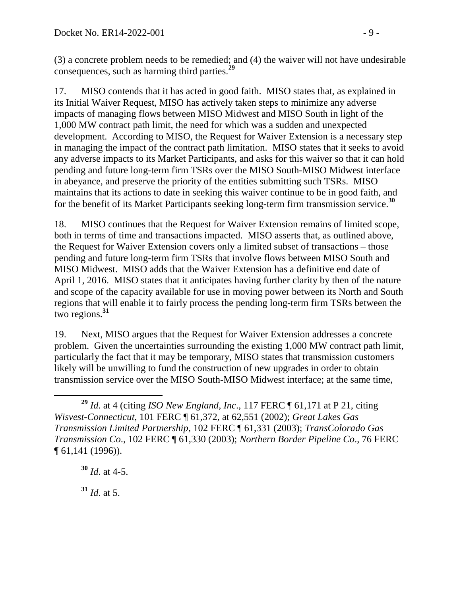(3) a concrete problem needs to be remedied; and (4) the waiver will not have undesirable consequences, such as harming third parties.**<sup>29</sup>**

17. MISO contends that it has acted in good faith. MISO states that, as explained in its Initial Waiver Request, MISO has actively taken steps to minimize any adverse impacts of managing flows between MISO Midwest and MISO South in light of the 1,000 MW contract path limit, the need for which was a sudden and unexpected development. According to MISO, the Request for Waiver Extension is a necessary step in managing the impact of the contract path limitation. MISO states that it seeks to avoid any adverse impacts to its Market Participants, and asks for this waiver so that it can hold pending and future long-term firm TSRs over the MISO South-MISO Midwest interface in abeyance, and preserve the priority of the entities submitting such TSRs. MISO maintains that its actions to date in seeking this waiver continue to be in good faith, and for the benefit of its Market Participants seeking long-term firm transmission service. **30**

18. MISO continues that the Request for Waiver Extension remains of limited scope, both in terms of time and transactions impacted. MISO asserts that, as outlined above, the Request for Waiver Extension covers only a limited subset of transactions – those pending and future long-term firm TSRs that involve flows between MISO South and MISO Midwest. MISO adds that the Waiver Extension has a definitive end date of April 1, 2016. MISO states that it anticipates having further clarity by then of the nature and scope of the capacity available for use in moving power between its North and South regions that will enable it to fairly process the pending long-term firm TSRs between the two regions.**<sup>31</sup>**

19. Next, MISO argues that the Request for Waiver Extension addresses a concrete problem. Given the uncertainties surrounding the existing 1,000 MW contract path limit, particularly the fact that it may be temporary, MISO states that transmission customers likely will be unwilling to fund the construction of new upgrades in order to obtain transmission service over the MISO South-MISO Midwest interface; at the same time,

 $31$  *Id.* at 5.

 $\overline{a}$ **<sup>29</sup>** *Id*. at 4 (citing *ISO New England, Inc*., 117 FERC ¶ 61,171 at P 21, citing *Wisvest-Connecticut*, 101 FERC ¶ 61,372, at 62,551 (2002); *Great Lakes Gas Transmission Limited Partnership*, 102 FERC ¶ 61,331 (2003); *TransColorado Gas Transmission Co*., 102 FERC ¶ 61,330 (2003); *Northern Border Pipeline Co*., 76 FERC ¶ 61,141 (1996)).

**<sup>30</sup>** *Id*. at 4-5.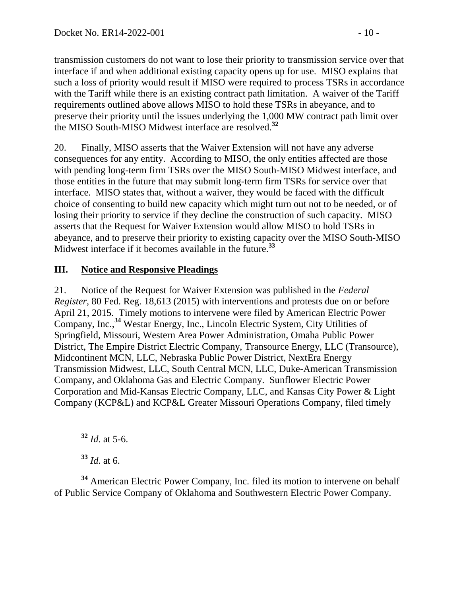transmission customers do not want to lose their priority to transmission service over that interface if and when additional existing capacity opens up for use. MISO explains that such a loss of priority would result if MISO were required to process TSRs in accordance with the Tariff while there is an existing contract path limitation. A waiver of the Tariff requirements outlined above allows MISO to hold these TSRs in abeyance, and to preserve their priority until the issues underlying the 1,000 MW contract path limit over the MISO South-MISO Midwest interface are resolved.**<sup>32</sup>**

20. Finally, MISO asserts that the Waiver Extension will not have any adverse consequences for any entity. According to MISO, the only entities affected are those with pending long-term firm TSRs over the MISO South-MISO Midwest interface, and those entities in the future that may submit long-term firm TSRs for service over that interface. MISO states that, without a waiver, they would be faced with the difficult choice of consenting to build new capacity which might turn out not to be needed, or of losing their priority to service if they decline the construction of such capacity. MISO asserts that the Request for Waiver Extension would allow MISO to hold TSRs in abeyance, and to preserve their priority to existing capacity over the MISO South-MISO Midwest interface if it becomes available in the future.**<sup>33</sup>**

### **III. Notice and Responsive Pleadings**

21. Notice of the Request for Waiver Extension was published in the *Federal Register*, 80 Fed. Reg. 18,613 (2015) with interventions and protests due on or before April 21, 2015. Timely motions to intervene were filed by American Electric Power Company, Inc., **<sup>34</sup>** Westar Energy, Inc., Lincoln Electric System, City Utilities of Springfield, Missouri, Western Area Power Administration, Omaha Public Power District, The Empire District Electric Company, Transource Energy, LLC (Transource), Midcontinent MCN, LLC, Nebraska Public Power District, NextEra Energy Transmission Midwest, LLC, South Central MCN, LLC, Duke-American Transmission Company, and Oklahoma Gas and Electric Company. Sunflower Electric Power Corporation and Mid-Kansas Electric Company, LLC, and Kansas City Power & Light Company (KCP&L) and KCP&L Greater Missouri Operations Company, filed timely

**<sup>32</sup>** *Id*. at 5-6.

**<sup>33</sup>** *Id*. at 6.

**<sup>34</sup>** American Electric Power Company, Inc. filed its motion to intervene on behalf of Public Service Company of Oklahoma and Southwestern Electric Power Company.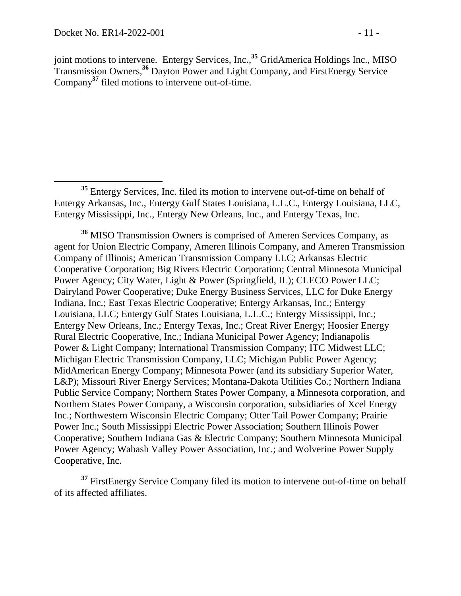joint motions to intervene. Entergy Services, Inc., **<sup>35</sup>** GridAmerica Holdings Inc., MISO Transmission Owners,**<sup>36</sup>** Dayton Power and Light Company, and FirstEnergy Service Company**<sup>37</sup>** filed motions to intervene out-of-time.

**<sup>36</sup>** MISO Transmission Owners is comprised of Ameren Services Company, as agent for Union Electric Company, Ameren Illinois Company, and Ameren Transmission Company of Illinois; American Transmission Company LLC; Arkansas Electric Cooperative Corporation; Big Rivers Electric Corporation; Central Minnesota Municipal Power Agency; City Water, Light & Power (Springfield, IL); CLECO Power LLC; Dairyland Power Cooperative; Duke Energy Business Services, LLC for Duke Energy Indiana, Inc.; East Texas Electric Cooperative; Entergy Arkansas, Inc.; Entergy Louisiana, LLC; Entergy Gulf States Louisiana, L.L.C.; Entergy Mississippi, Inc.; Entergy New Orleans, Inc.; Entergy Texas, Inc.; Great River Energy; Hoosier Energy Rural Electric Cooperative, Inc.; Indiana Municipal Power Agency; Indianapolis Power & Light Company; International Transmission Company; ITC Midwest LLC; Michigan Electric Transmission Company, LLC; Michigan Public Power Agency; MidAmerican Energy Company; Minnesota Power (and its subsidiary Superior Water, L&P); Missouri River Energy Services; Montana-Dakota Utilities Co.; Northern Indiana Public Service Company; Northern States Power Company, a Minnesota corporation, and Northern States Power Company, a Wisconsin corporation, subsidiaries of Xcel Energy Inc.; Northwestern Wisconsin Electric Company; Otter Tail Power Company; Prairie Power Inc.; South Mississippi Electric Power Association; Southern Illinois Power Cooperative; Southern Indiana Gas & Electric Company; Southern Minnesota Municipal Power Agency; Wabash Valley Power Association, Inc.; and Wolverine Power Supply Cooperative, Inc.

**<sup>37</sup>** FirstEnergy Service Company filed its motion to intervene out-of-time on behalf of its affected affiliates.

**<sup>35</sup>** Entergy Services, Inc. filed its motion to intervene out-of-time on behalf of Entergy Arkansas, Inc., Entergy Gulf States Louisiana, L.L.C., Entergy Louisiana, LLC, Entergy Mississippi, Inc., Entergy New Orleans, Inc., and Entergy Texas, Inc.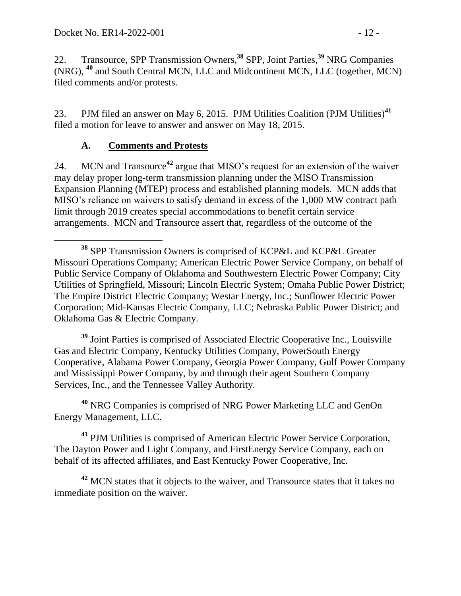22. Transource, SPP Transmission Owners, **<sup>38</sup>** SPP, Joint Parties, **<sup>39</sup>** NRG Companies (NRG), **<sup>40</sup>** and South Central MCN, LLC and Midcontinent MCN, LLC (together, MCN) filed comments and/or protests.

23. PJM filed an answer on May 6, 2015. PJM Utilities Coalition (PJM Utilities)**<sup>41</sup>** filed a motion for leave to answer and answer on May 18, 2015.

## **A. Comments and Protests**

24. MCN and Transource**<sup>42</sup>** argue that MISO's request for an extension of the waiver may delay proper long-term transmission planning under the MISO Transmission Expansion Planning (MTEP) process and established planning models. MCN adds that MISO's reliance on waivers to satisfy demand in excess of the 1,000 MW contract path limit through 2019 creates special accommodations to benefit certain service arrangements. MCN and Transource assert that, regardless of the outcome of the

**<sup>39</sup>** Joint Parties is comprised of Associated Electric Cooperative Inc., Louisville Gas and Electric Company, Kentucky Utilities Company, PowerSouth Energy Cooperative, Alabama Power Company, Georgia Power Company, Gulf Power Company and Mississippi Power Company, by and through their agent Southern Company Services, Inc., and the Tennessee Valley Authority.

**<sup>40</sup>** NRG Companies is comprised of NRG Power Marketing LLC and GenOn Energy Management, LLC.

**<sup>41</sup>** PJM Utilities is comprised of American Electric Power Service Corporation, The Dayton Power and Light Company, and FirstEnergy Service Company, each on behalf of its affected affiliates, and East Kentucky Power Cooperative, Inc.

**<sup>42</sup>** MCN states that it objects to the waiver, and Transource states that it takes no immediate position on the waiver.

 $\overline{a}$ **<sup>38</sup>** SPP Transmission Owners is comprised of KCP&L and KCP&L Greater Missouri Operations Company; American Electric Power Service Company, on behalf of Public Service Company of Oklahoma and Southwestern Electric Power Company; City Utilities of Springfield, Missouri; Lincoln Electric System; Omaha Public Power District; The Empire District Electric Company; Westar Energy, Inc.; Sunflower Electric Power Corporation; Mid-Kansas Electric Company, LLC; Nebraska Public Power District; and Oklahoma Gas & Electric Company.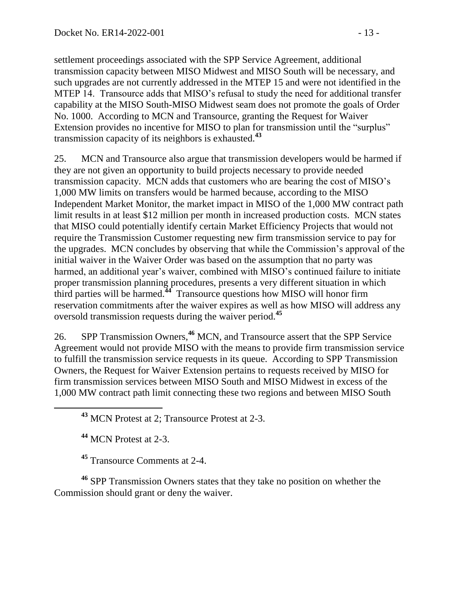settlement proceedings associated with the SPP Service Agreement, additional transmission capacity between MISO Midwest and MISO South will be necessary, and such upgrades are not currently addressed in the MTEP 15 and were not identified in the MTEP 14. Transource adds that MISO's refusal to study the need for additional transfer capability at the MISO South-MISO Midwest seam does not promote the goals of Order No. 1000. According to MCN and Transource, granting the Request for Waiver Extension provides no incentive for MISO to plan for transmission until the "surplus" transmission capacity of its neighbors is exhausted.**<sup>43</sup>**

25. MCN and Transource also argue that transmission developers would be harmed if they are not given an opportunity to build projects necessary to provide needed transmission capacity. MCN adds that customers who are bearing the cost of MISO's 1,000 MW limits on transfers would be harmed because, according to the MISO Independent Market Monitor, the market impact in MISO of the 1,000 MW contract path limit results in at least \$12 million per month in increased production costs. MCN states that MISO could potentially identify certain Market Efficiency Projects that would not require the Transmission Customer requesting new firm transmission service to pay for the upgrades. MCN concludes by observing that while the Commission's approval of the initial waiver in the Waiver Order was based on the assumption that no party was harmed, an additional year's waiver, combined with MISO's continued failure to initiate proper transmission planning procedures, presents a very different situation in which third parties will be harmed.**<sup>44</sup>** Transource questions how MISO will honor firm reservation commitments after the waiver expires as well as how MISO will address any oversold transmission requests during the waiver period.**<sup>45</sup>**

26. SPP Transmission Owners, **<sup>46</sup>** MCN, and Transource assert that the SPP Service Agreement would not provide MISO with the means to provide firm transmission service to fulfill the transmission service requests in its queue. According to SPP Transmission Owners, the Request for Waiver Extension pertains to requests received by MISO for firm transmission services between MISO South and MISO Midwest in excess of the 1,000 MW contract path limit connecting these two regions and between MISO South

**<sup>43</sup>** MCN Protest at 2; Transource Protest at 2-3.

**<sup>44</sup>** MCN Protest at 2-3.

**<sup>45</sup>** Transource Comments at 2-4.

**<sup>46</sup>** SPP Transmission Owners states that they take no position on whether the Commission should grant or deny the waiver.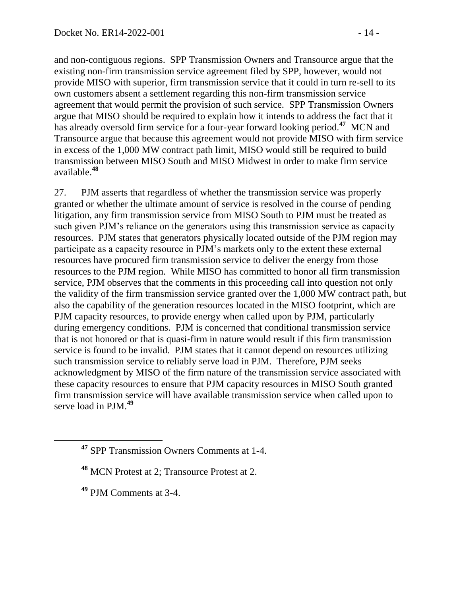and non-contiguous regions. SPP Transmission Owners and Transource argue that the existing non-firm transmission service agreement filed by SPP, however, would not provide MISO with superior, firm transmission service that it could in turn re-sell to its own customers absent a settlement regarding this non-firm transmission service agreement that would permit the provision of such service. SPP Transmission Owners argue that MISO should be required to explain how it intends to address the fact that it has already oversold firm service for a four-year forward looking period.**<sup>47</sup>** MCN and Transource argue that because this agreement would not provide MISO with firm service in excess of the 1,000 MW contract path limit, MISO would still be required to build transmission between MISO South and MISO Midwest in order to make firm service available.**<sup>48</sup>**

27. PJM asserts that regardless of whether the transmission service was properly granted or whether the ultimate amount of service is resolved in the course of pending litigation, any firm transmission service from MISO South to PJM must be treated as such given PJM's reliance on the generators using this transmission service as capacity resources. PJM states that generators physically located outside of the PJM region may participate as a capacity resource in PJM's markets only to the extent these external resources have procured firm transmission service to deliver the energy from those resources to the PJM region. While MISO has committed to honor all firm transmission service, PJM observes that the comments in this proceeding call into question not only the validity of the firm transmission service granted over the 1,000 MW contract path, but also the capability of the generation resources located in the MISO footprint, which are PJM capacity resources, to provide energy when called upon by PJM, particularly during emergency conditions. PJM is concerned that conditional transmission service that is not honored or that is quasi-firm in nature would result if this firm transmission service is found to be invalid. PJM states that it cannot depend on resources utilizing such transmission service to reliably serve load in PJM. Therefore, PJM seeks acknowledgment by MISO of the firm nature of the transmission service associated with these capacity resources to ensure that PJM capacity resources in MISO South granted firm transmission service will have available transmission service when called upon to serve load in PJM.**<sup>49</sup>**

**<sup>49</sup>** PJM Comments at 3-4.

**<sup>47</sup>** SPP Transmission Owners Comments at 1-4.

**<sup>48</sup>** MCN Protest at 2; Transource Protest at 2.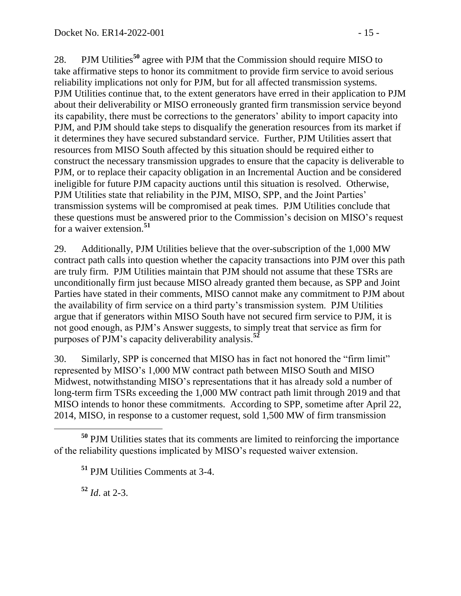28. PJM Utilities**<sup>50</sup>** agree with PJM that the Commission should require MISO to take affirmative steps to honor its commitment to provide firm service to avoid serious reliability implications not only for PJM, but for all affected transmission systems. PJM Utilities continue that, to the extent generators have erred in their application to PJM about their deliverability or MISO erroneously granted firm transmission service beyond its capability, there must be corrections to the generators' ability to import capacity into PJM, and PJM should take steps to disqualify the generation resources from its market if it determines they have secured substandard service. Further, PJM Utilities assert that resources from MISO South affected by this situation should be required either to construct the necessary transmission upgrades to ensure that the capacity is deliverable to PJM, or to replace their capacity obligation in an Incremental Auction and be considered ineligible for future PJM capacity auctions until this situation is resolved. Otherwise, PJM Utilities state that reliability in the PJM, MISO, SPP, and the Joint Parties' transmission systems will be compromised at peak times. PJM Utilities conclude that these questions must be answered prior to the Commission's decision on MISO's request for a waiver extension.**<sup>51</sup>**

29. Additionally, PJM Utilities believe that the over-subscription of the 1,000 MW contract path calls into question whether the capacity transactions into PJM over this path are truly firm. PJM Utilities maintain that PJM should not assume that these TSRs are unconditionally firm just because MISO already granted them because, as SPP and Joint Parties have stated in their comments, MISO cannot make any commitment to PJM about the availability of firm service on a third party's transmission system. PJM Utilities argue that if generators within MISO South have not secured firm service to PJM, it is not good enough, as PJM's Answer suggests, to simply treat that service as firm for purposes of PJM's capacity deliverability analysis.**<sup>52</sup>**

30. Similarly, SPP is concerned that MISO has in fact not honored the "firm limit" represented by MISO's 1,000 MW contract path between MISO South and MISO Midwest, notwithstanding MISO's representations that it has already sold a number of long-term firm TSRs exceeding the 1,000 MW contract path limit through 2019 and that MISO intends to honor these commitments. According to SPP, sometime after April 22, 2014, MISO, in response to a customer request, sold 1,500 MW of firm transmission

**<sup>52</sup>** *Id*. at 2-3.

 **<sup>50</sup>** PJM Utilities states that its comments are limited to reinforcing the importance of the reliability questions implicated by MISO's requested waiver extension.

**<sup>51</sup>** PJM Utilities Comments at 3-4.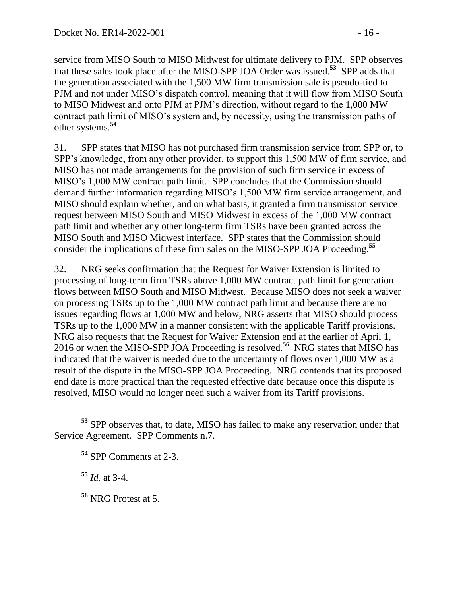service from MISO South to MISO Midwest for ultimate delivery to PJM. SPP observes that these sales took place after the MISO-SPP JOA Order was issued. **53** SPP adds that the generation associated with the 1,500 MW firm transmission sale is pseudo-tied to PJM and not under MISO's dispatch control, meaning that it will flow from MISO South to MISO Midwest and onto PJM at PJM's direction, without regard to the 1,000 MW contract path limit of MISO's system and, by necessity, using the transmission paths of other systems.**<sup>54</sup>**

31. SPP states that MISO has not purchased firm transmission service from SPP or, to SPP's knowledge, from any other provider, to support this 1,500 MW of firm service, and MISO has not made arrangements for the provision of such firm service in excess of MISO's 1,000 MW contract path limit. SPP concludes that the Commission should demand further information regarding MISO's 1,500 MW firm service arrangement, and MISO should explain whether, and on what basis, it granted a firm transmission service request between MISO South and MISO Midwest in excess of the 1,000 MW contract path limit and whether any other long-term firm TSRs have been granted across the MISO South and MISO Midwest interface. SPP states that the Commission should consider the implications of these firm sales on the MISO-SPP JOA Proceeding. **55**

32. NRG seeks confirmation that the Request for Waiver Extension is limited to processing of long-term firm TSRs above 1,000 MW contract path limit for generation flows between MISO South and MISO Midwest. Because MISO does not seek a waiver on processing TSRs up to the 1,000 MW contract path limit and because there are no issues regarding flows at 1,000 MW and below, NRG asserts that MISO should process TSRs up to the 1,000 MW in a manner consistent with the applicable Tariff provisions. NRG also requests that the Request for Waiver Extension end at the earlier of April 1, 2016 or when the MISO-SPP JOA Proceeding is resolved.**<sup>56</sup>** NRG states that MISO has indicated that the waiver is needed due to the uncertainty of flows over 1,000 MW as a result of the dispute in the MISO-SPP JOA Proceeding. NRG contends that its proposed end date is more practical than the requested effective date because once this dispute is resolved, MISO would no longer need such a waiver from its Tariff provisions.

**<sup>55</sup>** *Id*. at 3-4.

 $\overline{a}$ 

**<sup>56</sup>** NRG Protest at 5.

**<sup>53</sup>** SPP observes that, to date, MISO has failed to make any reservation under that Service Agreement. SPP Comments n.7.

**<sup>54</sup>** SPP Comments at 2-3.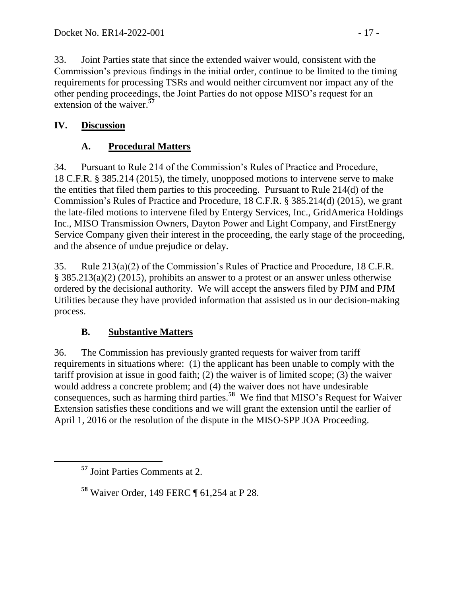33. Joint Parties state that since the extended waiver would, consistent with the Commission's previous findings in the initial order, continue to be limited to the timing requirements for processing TSRs and would neither circumvent nor impact any of the other pending proceedings, the Joint Parties do not oppose MISO's request for an extension of the waiver.**<sup>57</sup>**

## **IV. Discussion**

# **A. Procedural Matters**

34. Pursuant to Rule 214 of the Commission's Rules of Practice and Procedure, 18 C.F.R. § 385.214 (2015), the timely, unopposed motions to intervene serve to make the entities that filed them parties to this proceeding. Pursuant to Rule 214(d) of the Commission's Rules of Practice and Procedure, 18 C.F.R. § 385.214(d) (2015), we grant the late-filed motions to intervene filed by Entergy Services, Inc., GridAmerica Holdings Inc., MISO Transmission Owners, Dayton Power and Light Company, and FirstEnergy Service Company given their interest in the proceeding, the early stage of the proceeding, and the absence of undue prejudice or delay.

35. Rule 213(a)(2) of the Commission's Rules of Practice and Procedure, 18 C.F.R. § 385.213(a)(2) (2015), prohibits an answer to a protest or an answer unless otherwise ordered by the decisional authority. We will accept the answers filed by PJM and PJM Utilities because they have provided information that assisted us in our decision-making process.

## **B. Substantive Matters**

36. The Commission has previously granted requests for waiver from tariff requirements in situations where: (1) the applicant has been unable to comply with the tariff provision at issue in good faith; (2) the waiver is of limited scope; (3) the waiver would address a concrete problem; and (4) the waiver does not have undesirable consequences, such as harming third parties.**<sup>58</sup>** We find that MISO's Request for Waiver Extension satisfies these conditions and we will grant the extension until the earlier of April 1, 2016 or the resolution of the dispute in the MISO-SPP JOA Proceeding.

 $\overline{a}$ 

**<sup>57</sup>** Joint Parties Comments at 2.

**<sup>58</sup>** Waiver Order, 149 FERC ¶ 61,254 at P 28.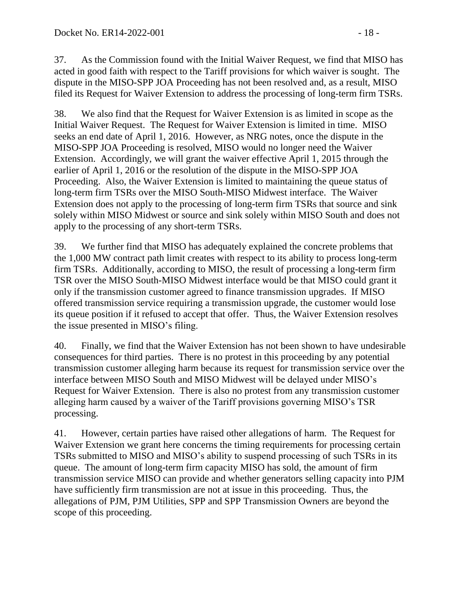37. As the Commission found with the Initial Waiver Request, we find that MISO has acted in good faith with respect to the Tariff provisions for which waiver is sought. The dispute in the MISO-SPP JOA Proceeding has not been resolved and, as a result, MISO filed its Request for Waiver Extension to address the processing of long-term firm TSRs.

38. We also find that the Request for Waiver Extension is as limited in scope as the Initial Waiver Request. The Request for Waiver Extension is limited in time. MISO seeks an end date of April 1, 2016. However, as NRG notes, once the dispute in the MISO-SPP JOA Proceeding is resolved, MISO would no longer need the Waiver Extension. Accordingly, we will grant the waiver effective April 1, 2015 through the earlier of April 1, 2016 or the resolution of the dispute in the MISO-SPP JOA Proceeding. Also, the Waiver Extension is limited to maintaining the queue status of long-term firm TSRs over the MISO South-MISO Midwest interface. The Waiver Extension does not apply to the processing of long-term firm TSRs that source and sink solely within MISO Midwest or source and sink solely within MISO South and does not apply to the processing of any short-term TSRs.

39. We further find that MISO has adequately explained the concrete problems that the 1,000 MW contract path limit creates with respect to its ability to process long-term firm TSRs. Additionally, according to MISO, the result of processing a long-term firm TSR over the MISO South-MISO Midwest interface would be that MISO could grant it only if the transmission customer agreed to finance transmission upgrades. If MISO offered transmission service requiring a transmission upgrade, the customer would lose its queue position if it refused to accept that offer. Thus, the Waiver Extension resolves the issue presented in MISO's filing.

40. Finally, we find that the Waiver Extension has not been shown to have undesirable consequences for third parties. There is no protest in this proceeding by any potential transmission customer alleging harm because its request for transmission service over the interface between MISO South and MISO Midwest will be delayed under MISO's Request for Waiver Extension. There is also no protest from any transmission customer alleging harm caused by a waiver of the Tariff provisions governing MISO's TSR processing.

41. However, certain parties have raised other allegations of harm. The Request for Waiver Extension we grant here concerns the timing requirements for processing certain TSRs submitted to MISO and MISO's ability to suspend processing of such TSRs in its queue. The amount of long-term firm capacity MISO has sold, the amount of firm transmission service MISO can provide and whether generators selling capacity into PJM have sufficiently firm transmission are not at issue in this proceeding. Thus, the allegations of PJM, PJM Utilities, SPP and SPP Transmission Owners are beyond the scope of this proceeding.